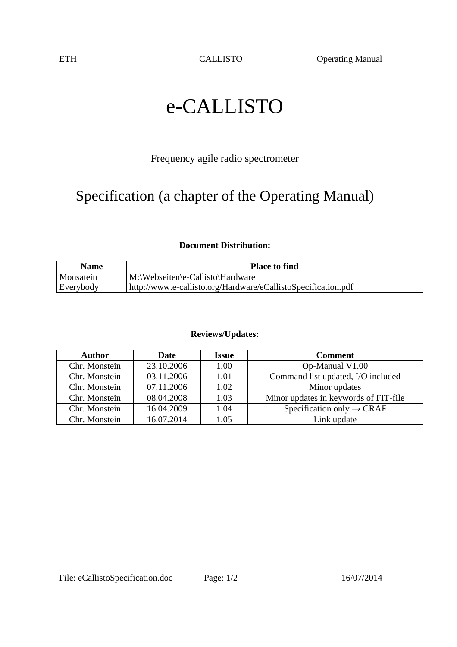ETH CALLISTO Operating Manual

# e-CALLISTO

### Frequency agile radio spectrometer

## Specification (a chapter of the Operating Manual)

#### **Document Distribution:**

| <b>Name</b> | <b>Place to find</b>                                          |
|-------------|---------------------------------------------------------------|
| Monsatein   | M:\Webseiten\e-Callisto\Hardware                              |
| Everybody   | http://www.e-callisto.org/Hardware/eCallistoSpecification.pdf |

#### **Reviews/Updates:**

| <b>Author</b> | Date       | <b>Issue</b> | <b>Comment</b>                        |  |
|---------------|------------|--------------|---------------------------------------|--|
| Chr. Monstein | 23.10.2006 | 1.00         | Op-Manual V1.00                       |  |
| Chr. Monstein | 03.11.2006 | 1.01         | Command list updated, I/O included    |  |
| Chr. Monstein | 07.11.2006 | 1.02         | Minor updates                         |  |
| Chr. Monstein | 08.04.2008 | 1.03         | Minor updates in keywords of FIT-file |  |
| Chr. Monstein | 16.04.2009 | 1.04         | Specification only $\rightarrow$ CRAF |  |
| Chr. Monstein | 16.07.2014 | 1.05         | Link update                           |  |